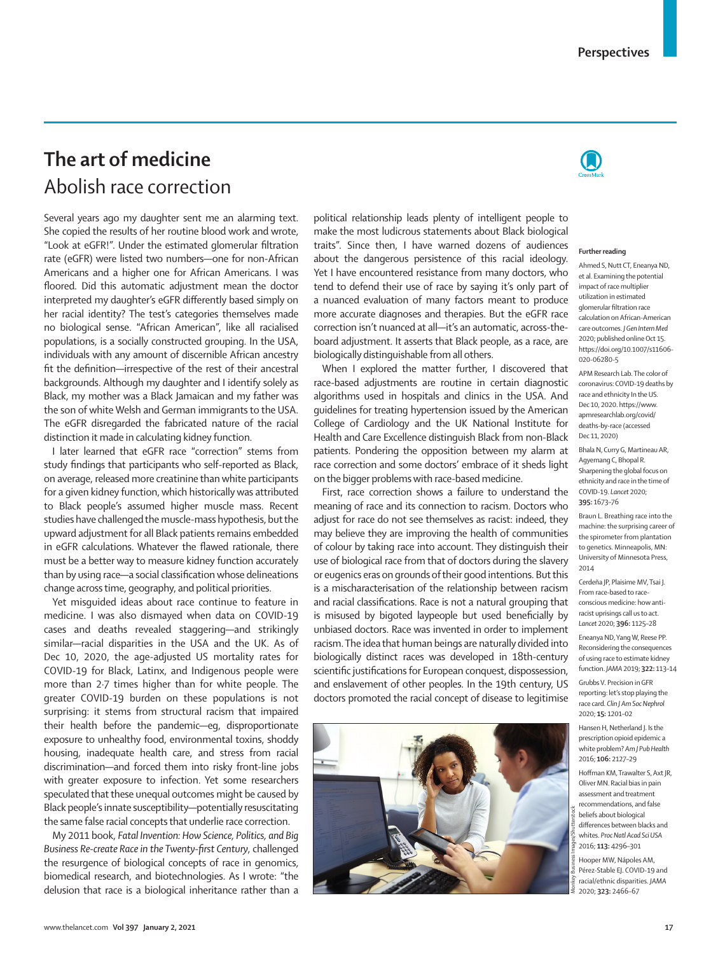## **The art of medicine** Abolish race correction

Several years ago my daughter sent me an alarming text. She copied the results of her routine blood work and wrote, "Look at eGFR!". Under the estimated glomerular filtration rate (eGFR) were listed two numbers—one for non-African Americans and a higher one for African Americans. I was floored. Did this automatic adjustment mean the doctor interpreted my daughter's eGFR differently based simply on her racial identity? The test's categories themselves made no biological sense. "African American", like all racialised populations, is a socially constructed grouping. In the USA, individuals with any amount of discernible African ancestry fit the definition—irrespective of the rest of their ancestral backgrounds. Although my daughter and I identify solely as Black, my mother was a Black Jamaican and my father was the son of white Welsh and German immigrants to the USA. The eGFR disregarded the fabricated nature of the racial distinction it made in calculating kidney function.

I later learned that eGFR race "correction" stems from study findings that participants who self-reported as Black, on average, released more creatinine than white participants for a given kidney function, which historically was attributed to Black people's assumed higher muscle mass. Recent studies have challenged the muscle-mass hypothesis, but the upward adjustment for all Black patients remains embedded in eGFR calculations. Whatever the flawed rationale, there must be a better way to measure kidney function accurately than by using race—a social classification whose delineations change across time, geography, and political priorities.

Yet misguided ideas about race continue to feature in medicine. I was also dismayed when data on COVID-19 cases and deaths revealed staggering—and strikingly similar—racial disparities in the USA and the UK. As of Dec 10, 2020, the age-adjusted US mortality rates for COVID-19 for Black, Latinx, and Indigenous people were more than 2·7 times higher than for white people. The greater COVID-19 burden on these populations is not surprising: it stems from structural racism that impaired their health before the pandemic—eg, disproportionate exposure to unhealthy food, environmental toxins, shoddy housing, inadequate health care, and stress from racial discrimination—and forced them into risky front-line jobs with greater exposure to infection. Yet some researchers speculated that these unequal outcomes might be caused by Black people's innate susceptibility—potentially resuscitating the same false racial concepts that underlie race correction.

My 2011 book, *Fatal Invention: How Science, Politics, and Big Business Re-create Race in the Twenty-first Century*, challenged the resurgence of biological concepts of race in genomics, biomedical research, and biotechnologies. As I wrote: "the delusion that race is a biological inheritance rather than a

political relationship leads plenty of intelligent people to make the most ludicrous statements about Black biological traits". Since then, I have warned dozens of audiences about the dangerous persistence of this racial ideology. Yet I have encountered resistance from many doctors, who tend to defend their use of race by saying it's only part of a nuanced evaluation of many factors meant to produce more accurate diagnoses and therapies. But the eGFR race correction isn't nuanced at all—it's an automatic, across-theboard adjustment. It asserts that Black people, as a race, are biologically distinguishable from all others.

When I explored the matter further, I discovered that race-based adjustments are routine in certain diagnostic algorithms used in hospitals and clinics in the USA. And guidelines for treating hypertension issued by the American College of Cardiology and the UK National Institute for Health and Care Excellence distinguish Black from non-Black patients. Pondering the opposition between my alarm at race correction and some doctors' embrace of it sheds light on the bigger problems with race-based medicine.

First, race correction shows a failure to understand the meaning of race and its connection to racism. Doctors who adjust for race do not see themselves as racist: indeed, they may believe they are improving the health of communities of colour by taking race into account. They distinguish their use of biological race from that of doctors during the slavery or eugenics eras on grounds of their good intentions. But this is a mischaracterisation of the relationship between racism and racial classifications. Race is not a natural grouping that is misused by bigoted laypeople but used beneficially by unbiased doctors. Race was invented in order to implement racism. The idea that human beings are naturally divided into biologically distinct races was developed in 18th-century scientific justifications for European conquest, dispossession, and enslavement of other peoples. In the 19th century, US doctors promoted the racial concept of disease to legitimise





## **Further reading**

Ahmed S, Nutt CT, Eneanya ND, et al. Examining the potential impact of race multiplier utilization in estimated glomerular filtration race calculation on African-American care outcomes. *J Gen Intern Med* 2020; published online Oct 15. https://doi.org/10.1007/s11606-020-06280-5

APM Research Lab. The color of coronavirus: COVID-19 deaths by race and ethnicity In the US. Dec 10, 2020. https://www. apmresearchlab.org/covid/ deaths-by-race (accessed Dec 11, 2020)

Bhala N, Curry G, Martineau AR, Agyemang C, Bhopal R. Sharpening the global focus on ethnicity and race in the time of COVID-19. *Lancet* 2020; **395:** 1673–76

Braun L. Breathing race into the machine: the surprising career of the spirometer from plantation to genetics. Minneapolis, MN: University of Minnesota Press, 2014

Cerdeña JP, Plaisime MV, Tsai J. From race-based to raceconscious medicine: how antiracist uprisings call us to act. *Lancet* 2020; **396:** 1125–28

Eneanya ND, Yang W, Reese PP. Reconsidering the consequences of using race to estimate kidney function. *JAMA* 2019; **322:** 113–14

Grubbs V. Precision in GFR reporting: let's stop playing the race card. *Clin J Am Soc Nephrol* 2020; **15:** 1201–02

Hansen H, Netherland J. Is the prescription opioid epidemic a white problem? *Am J Pub Health* 2016; **106:** 2127–29

Hoffman KM, Trawalter S, Axt JR, Oliver MN. Racial bias in pain assessment and treatment recommendations, and false beliefs about biological differences between blacks and whites. *Proc Natl Acad Sci USA* 2016; **113:** 4296–301

Hooper MW, Nápoles AM, Pérez-Stable EJ. COVID-19 and racial/ethnic disparities. *JAMA* 2020; **323:** 2466–67